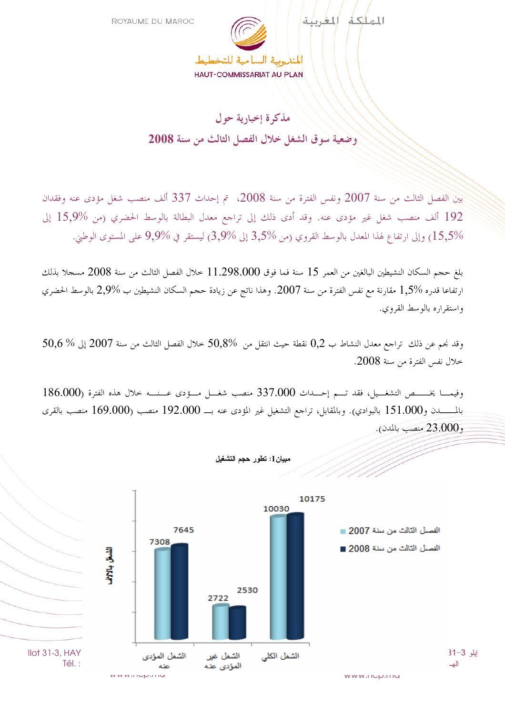

## مذكرة إخبارية حول وضعية سوق الشغل خلال الفصل الثالث من سنة 2008

بين الفصل الثالث من سنة 2007 ونفس الفترة من سنة 2008، تم إحداث 337 ألف منصب شغل مؤدى عنه وفقدان 192 ألف منصب شغل غير مؤدى عنه. وقد أدى ذلك إلى تراجع معدل البطالة بالوسط الحضري (من %15,9 إلى وإلى ارتفاع لهذا المعدل بالوسط القروي (من %3,5 إلى %3,9) ليستقر في %9,9 على المستوى الوطني.  $15,\!5\%$ 

بلغ حجم السكان النشيطين البالغين من العمر 15 سنة فما فوق 11.298.000 خلال الفصل الثالث من سنة 2008 مسجلا بذلك ارتفاعا قدره 1,5% مقارنة مع نفس الفترة من سنة 2007. وهذا ناتج عن زيادة حجم السكان النشيطين ب %2,9 بالوسط الحضري واستقراره بالوسط القروي.

 $50,6~\%$  وقد نجم عن ذلك تراجع معدل النشاط ب $0,2$  نقطة حيث انتقل من  $50,8\%$  خلال الفصل الثالث من سنة 2007 إلى % خلال نفس الفترة من سنة 2008.

 $186.000$ وفيمـــا يخــــــص التشغـــيل، فقد تــــم إحـــداث 337.000 منصب شغـــل مـــؤدى عـــنــــه خلال هذه الفترة ( للـــــــــــدن و151.000 بالبوادي). وبالمقابل، تراجع التشغيل غير المؤدى عنه بــــ 192.000 منصب العقرى 169.000 منصب بالقرى ڊ و23.000 منصب بالمدن).

مبيان1: تطور حجم التشغيل

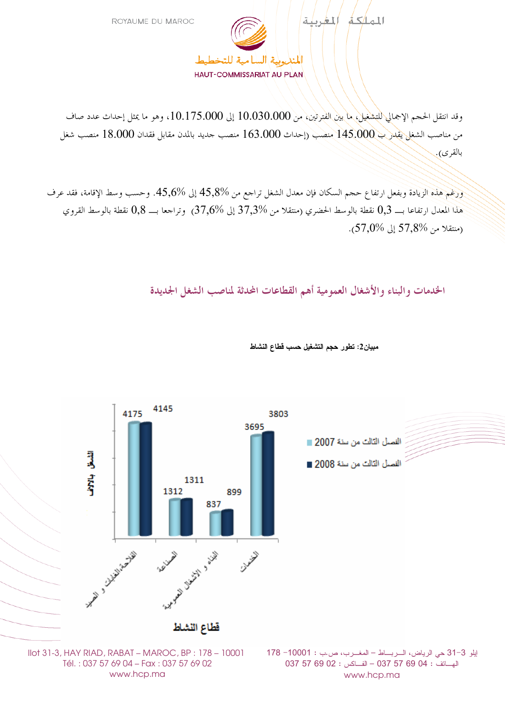

وقد انتقل الحجم الإجمالي للتشغيل، ما بين الفترتين، من 10.030.000 إلى 10.175.000، وهو ما يمثل إحداث عدد صاف من مناصب الشغل يُقدر ب 145.000 منصب (إحداث 163.000 منصب حديد بالمدن مقابل فقدان 18.000 منصب شغل بالقرى).

ورغم هذه الزيادة وبفعل ارتفاع حجم السكان فإن معدل الشغل تراجع من 45٫8% إلى %45٫6. وحسب وسط الإقامة، فقد عرف هذا المعدل ارتفاعا بــــ 0,3 نقطة بالوسط الحضري (منتقلا من 37,3% إلى 37,6%) وتراجعا بـــ 0,8 نقطة بالوسط القروي .(منتقلا من %57,8 إلى %57,0).

الخدمات والبناء والأشغال العمومية أهم القطاعات المحدثة لمناصب الشغل الجديدة



مبيان2: تطور حجم التشغيل حسب قطاع النشاط

Tél.: 037 57 69 04 - Fax: 037 57 69 02 www.hcp.ma

الهساتف : 04 69 57 67 037 - الفساكس : 02 69 57 037 www.hcp.ma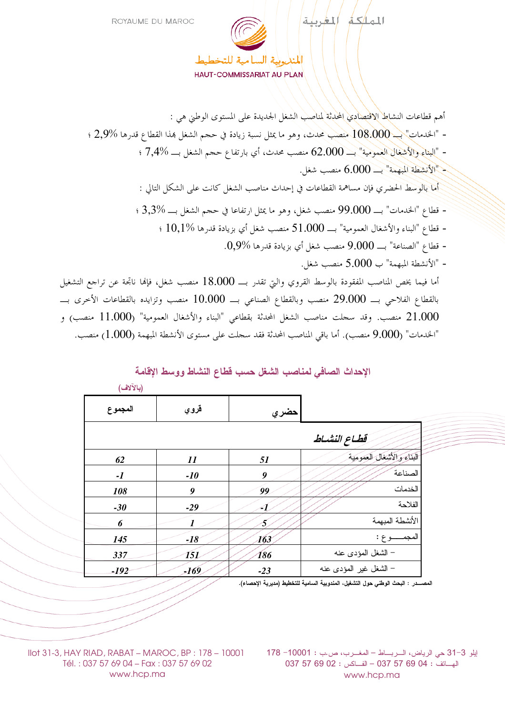

أهم قطاعات النشاط الاقْتِصادِي المحدِثة لمناصِب الشَّغل الحديدة على المستوى الوطني هي : - "الخدمات" $\sim 108.000$  منصب محدث، وهو ما يمثل نسبة زيادة في حجم الشغل بمذا القطاع قدرها %2,9 ؛ - "البناءِ والأشغال العمومية" بــــ 62.000 منصب محدث، أي بارتفاع حجم الشغل بـــ %7,4 ؛ - "الأنشطة المبهمة"  $- 6.000$  منصب شغل. أما بالوسط الحضري فإن مساهمة القطاعات في إحداث مناصب الشغل كانت على الشكل التالي : - قطاع "البناء والأشغال العمومية" بـــــ 51.000 منصب شغل أي بزيادة قدرها %10,1 ؛ - قطاع "الصناعة" بـــــ 9.000 منصب شغل أي بزيادة قدرها %0,9. - "الأنشطة المبهمة" ب 5.000 منصب شغل. أما فيما يخص المناصب المفقودة بالوسط القروي والتي تقدر بـــ 18.000 منصب شغل، فإلها ناتجة عن تراجع التشغيل بالقطاع الفلاحي بــــ 29.000 منصب وبالقطاع الصناعي بــــ 10.000 منصب وتزايده بالقطاعات الأخرى بــــ 21.000 منصب. وقد سجلت مناصب الشغل المحدثة بقطاعي "البناء والأشغال العمومية" (11.000 منصب) و

## الإحداث الصافي لمناصب الشغل حسب قطاع النشاط ووسط الاقامة

الخدمات" (9.000 منصب). أما باقي المناصب المحدثة فقد سجلت على مستوى الأنشطة المبهمة (1.000) منصب."

| $($ – $\cdot$ $\cdot$ – $\cdot$ |                            |       |                          |
|---------------------------------|----------------------------|-------|--------------------------|
| المجموع                         | قروي                       | حضري  |                          |
|                                 |                            |       | قطاع النشساط             |
| 62                              | $\boldsymbol{\mathit{11}}$ | 51    | البناء والأشغال العمومية |
| $-I$                            | $-10$                      | 9     | الصناعة                  |
| 108                             | 9                          | 99    | الخدمات                  |
| $-30$                           | $-29$                      | -1    | الفلاحة                  |
| 6                               | $\boldsymbol{l}$           | 5     | الأنشطة المبهمة          |
| 145                             | $-18$                      | 163   | المجمــــــوع :          |
| 337                             | 151                        | 186   | – الشغل المؤدى عنه       |
| -192                            | -169                       | $-23$ | – الشغل غير المؤدى عنه   |

 $(LiV\tilde{V}L)$ 

المصــــدر : البحث الوطني حول التشغيل، المندوبية السامية للتخطيط (مديرية الإحصاء).

إيلو 3-31 حي الرياض، السربـــاط – المغـــرب، ص.ب : 10001- 178 الهساتف : 04 69 57 67 037 - الفساكس : 02 69 57 037 www.hcp.ma

Ilot 31-3, HAY RIAD, RABAT - MAROC, BP : 178 - 10001 Tél.: 037 57 69 04 - Fax: 037 57 69 02 www.hcp.ma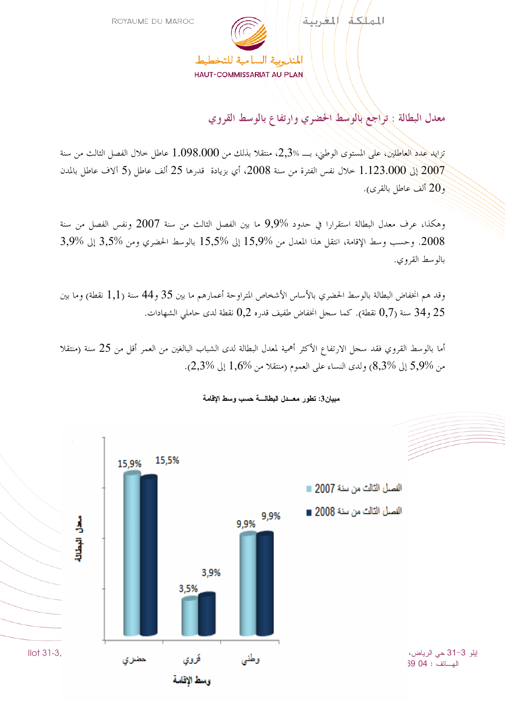

معدل البطالة : تراجع بالوسط الحضري وارتفاع بالوسط القروي

تزايد عدد العاطلين، على المستوى الوطني، بـــ 2,3%، منتقلا بذلك من 1.098.000 عاطل حلال الفصل الثالث من سنة 2007 إلى 1.123.000 خلال نفس الفترة من سنة 2008، أي بزيادة قدرها 25 ألف عاطل (5 آلاف عاطل بالمدن و 20 ألف عاطل بالقرى).

وهكذا، عرف معدل البطالة استقرارا في حدود %9٫9 ما بين الفصل الثالث من سنة 2007 ونفس الفصل من سنة 2008. وحسب وسط الإقامة، انتقل هذا المعدل من %15,9 إلى %15,5 بالوسط الحضري ومن %3,5 إلى %3,9 بالو سط القروي.

وقد هم انخفاض البطالة بالوسط الحضري بالأساس الأشخاص المتراوحة أعمارهم ما بين 35 و44 سنة (1,1 نقطة) وما بين و 34 سنة (0٫7 نقطة). كما سجل انخفاض طفيف قدره 0٫2 نقطة لدى حاملي الشهادات.  $34,25$ 

أما بالوسط القروي فقد سجل الارتفاع الأكثر أهمية لمعدل البطالة لدى الشباب البالغين من العمر أقل من 25 سنة (منتقلا من %5,9 إلى %8,3) ولدى النساء على العموم (منتقلا من %1,6 إلى %2,3).



مبيان3: تطور معــدل البطالــــة حسب وسط الإقامة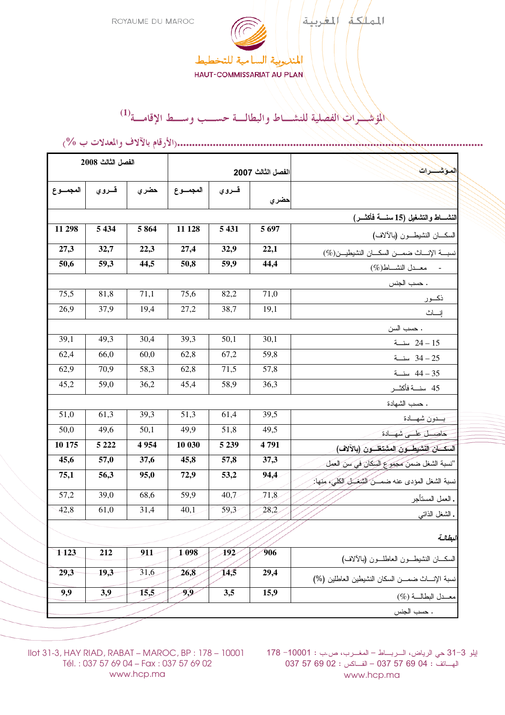

HAUT-COMMISSARIAT AU PLAN

## المؤشــــرات الفصلية للنشــــاط والبطالـــة حســـب وســـط الإقامـــة<sup>(1)</sup>

|                                   | الفصل الثالث 2008 |                   |                   |         |          |                                                        |  |  |  |
|-----------------------------------|-------------------|-------------------|-------------------|---------|----------|--------------------------------------------------------|--|--|--|
|                                   |                   | الفصل الثالث 2007 |                   |         | لموشحرات |                                                        |  |  |  |
| المجموع                           | قسروي             | حضري              | المجموع           | قسروي   | حضري     |                                                        |  |  |  |
| النشساط والتشغيل (15 سنسة فأكثسر) |                   |                   |                   |         |          |                                                        |  |  |  |
| 11 298                            | 5 4 3 4           | 5864              | 11 128            | 5 4 3 1 | 5 6 9 7  | السكـــان النشيطـــون (بالألاف)                        |  |  |  |
| 27,3                              | 32,7              | 22,3              | 27,4              | 32,9    | 22,1     | نسبة الإنساث ضمــن السكــان النشيطيــن(%)              |  |  |  |
| 50,6                              | 59,3              | 44,5              | 50,8              | 59,9    | 44,4     | - معـــدل النشـــــاطـ(%)                              |  |  |  |
| . حسب الجنس                       |                   |                   |                   |         |          |                                                        |  |  |  |
| 75,5                              | 81,8              | 71,1              | 75,6              | 82,2    | 71,0     | نكسور                                                  |  |  |  |
| 26,9                              | 37,9              | 19,4              | 27,2              | 38,7    | 19,1     | إنساث                                                  |  |  |  |
|                                   |                   |                   |                   |         |          | . حسب السن                                             |  |  |  |
| 39,1                              | 49,3              | 30,4              | 39,3              | 50,1    | 30,1     | 24 - 24 سنــة                                          |  |  |  |
| 62,4                              | 66,0              | 60,0              | 62,8              | 67,2    | 59,8     | 34 - 34 سنة                                            |  |  |  |
| 62,9                              | 70,9              | 58,3              | 62,8              | 71,5    | 57,8     | 35 – 44 سنــة                                          |  |  |  |
| 45,2                              | 59,0              | 36,2              | 45,4              | 58,9    | 36,3     | 45 سنسة فأكثسر                                         |  |  |  |
| . حسب الشهادة                     |                   |                   |                   |         |          |                                                        |  |  |  |
| 51,0                              | 61,3              | 39,3              | 51,3              | 61,4    | 39,5     | بسدون شهسادة                                           |  |  |  |
| 50,0                              | 49,6              | 50,1              | 49,9              | 51,8    | 49,5     | حاصل على شهيادة                                        |  |  |  |
| 10 175                            | 5 2 2 2           | 4954              | 10 030            | 5 2 3 9 | 4791     | السكان النشيطون المشتغلون (بالآلاف)                    |  |  |  |
| 45,6                              | 57,0              | 37,6              | 45,8              | 57,8    | 37,3     | "نسبة الشغل ضمن مجموع السكان في سن العمل               |  |  |  |
| 75,1                              | 56,3              | 95,0              | 72,9              | 53,2    | 94,4     | نسبة الشغل المؤدى عنه ضمـــن الشَّخــل الكلي، مِنْهَا: |  |  |  |
| $\overline{57,2}$                 | 39,0              | 68,6              | $\overline{59,9}$ | 40,7    | 71,8     | . العمل المستأجر                                       |  |  |  |
| 42,8                              | 61,0              | 31,4              | 40,1              | 59,3    | 28,2     | . الشغل الذاتبي                                        |  |  |  |
| البطالية                          |                   |                   |                   |         |          |                                                        |  |  |  |
| 1 1 23                            | 212               | 911               | 1098              | 192     | 906      | السكسان النشيطـــون العاطلـــون (بالألاف)              |  |  |  |
| 29,3                              | 19,3              | 31,6              | 26,8              | 14,5    | 29,4     | نسبة الإنسات ضمسن السكان النشيطين العاطلين (%)         |  |  |  |
| 9,9                               | 3,9               | 15,5              | 9,9               | 3,5     | 15,9     | معــدل البطالــة (%)                                   |  |  |  |
| . حسب الجنس                       |                   |                   |                   |         |          |                                                        |  |  |  |

(% H #I\$3 JIK < L C .)**.......................................................................................................**

بيلو 31−3 حي الرياض، الــربـــاط – المغــرب، ص.ب : 10001 = 178 IOO1 (− MAROC, BP : 178 – 10001 المغــرب، ص.ب 037 57 69 02 : – 037 57 69 04 : www.hcp.ma

Tél. : 037 57 69 04 – Fax : 037 57 69 02 www.hcp.ma